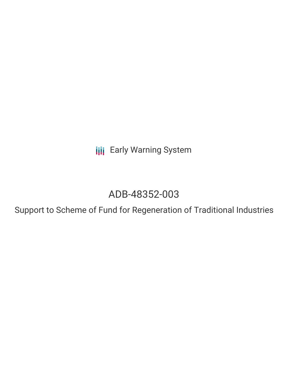**III** Early Warning System

# ADB-48352-003

Support to Scheme of Fund for Regeneration of Traditional Industries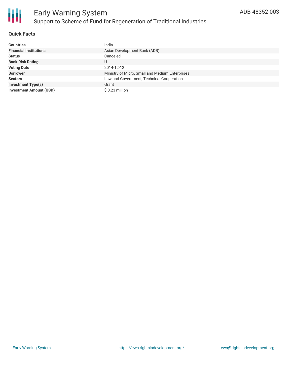

## **Quick Facts**

| <b>Countries</b>               | India                                           |
|--------------------------------|-------------------------------------------------|
| <b>Financial Institutions</b>  | Asian Development Bank (ADB)                    |
| <b>Status</b>                  | Canceled                                        |
| <b>Bank Risk Rating</b>        | U                                               |
| <b>Voting Date</b>             | 2014-12-12                                      |
| <b>Borrower</b>                | Ministry of Micro, Small and Medium Enterprises |
| <b>Sectors</b>                 | Law and Government, Technical Cooperation       |
| <b>Investment Type(s)</b>      | Grant                                           |
| <b>Investment Amount (USD)</b> | $$0.23$ million                                 |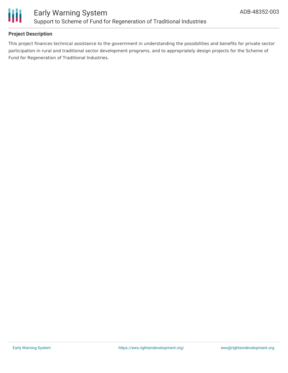

## **Project Description**

This project finances technical assistance to the government in understanding the possibilities and benefits for private sector participation in rural and traditional sector development programs, and to appropriately design projects for the Scheme of Fund for Regeneration of Traditional Industries.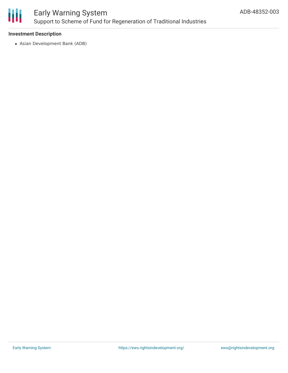

## Early Warning System Support to Scheme of Fund for Regeneration of Traditional Industries

#### **Investment Description**

Asian Development Bank (ADB)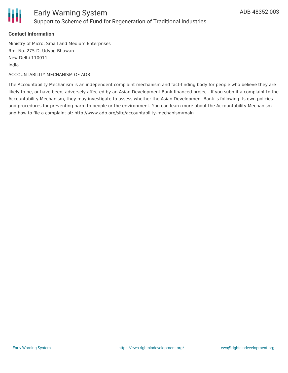

#### **Contact Information**

Ministry of Micro, Small and Medium Enterprises Rm. No. 275-D, Udyog Bhawan New Delhi 110011 India

ACCOUNTABILITY MECHANISM OF ADB

The Accountability Mechanism is an independent complaint mechanism and fact-finding body for people who believe they are likely to be, or have been, adversely affected by an Asian Development Bank-financed project. If you submit a complaint to the Accountability Mechanism, they may investigate to assess whether the Asian Development Bank is following its own policies and procedures for preventing harm to people or the environment. You can learn more about the Accountability Mechanism and how to file a complaint at: http://www.adb.org/site/accountability-mechanism/main